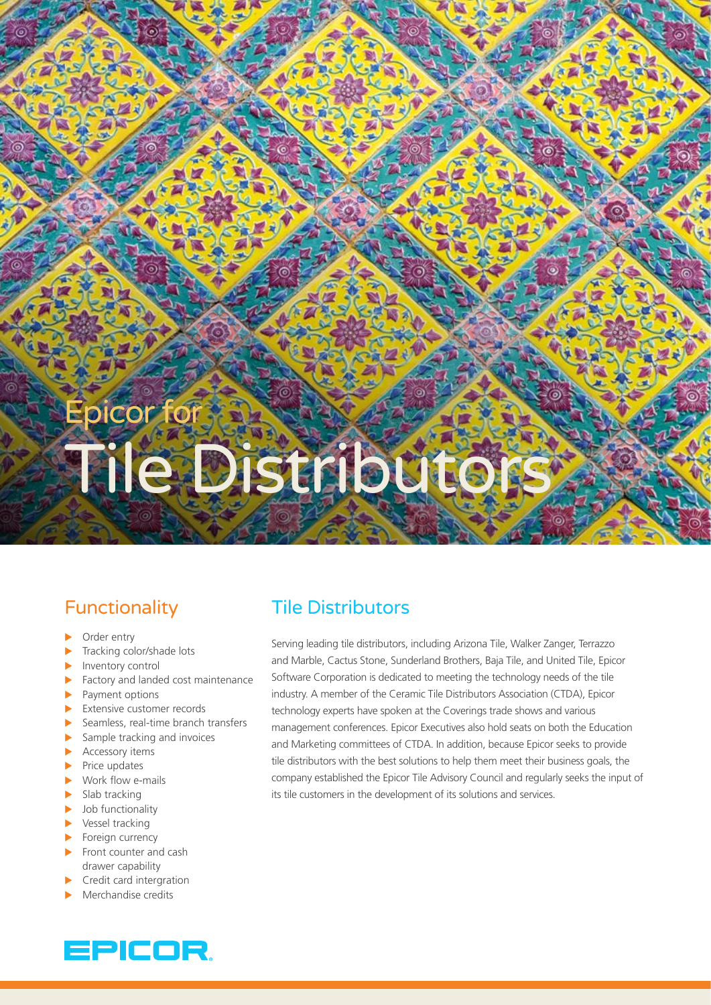# picor f Tile Distribute

# **Functionality**

- Order entry
- Tracking color/shade lots
- Inventory control
- Factory and landed cost maintenance
- $\blacktriangleright$  Payment options
- $\blacktriangleright$  Extensive customer records
- Seamless, real-time branch transfers
- $\blacktriangleright$  Sample tracking and invoices
- $\blacktriangleright$  Accessory items
- $\blacktriangleright$  Price updates
- $\blacktriangleright$  Work flow e-mails
- $\blacktriangleright$  Slab tracking
- $\blacktriangleright$  Job functionality
- $\blacktriangleright$  Vessel tracking
- $\blacktriangleright$  Foreign currency
- $\blacktriangleright$  Front counter and cash drawer capability
- $\blacktriangleright$  Credit card intergration
- Merchandise credits

# Tile Distributors

Serving leading tile distributors, including Arizona Tile, Walker Zanger, Terrazzo and Marble, Cactus Stone, Sunderland Brothers, Baja Tile, and United Tile, Epicor Software Corporation is dedicated to meeting the technology needs of the tile industry. A member of the Ceramic Tile Distributors Association (CTDA), Epicor technology experts have spoken at the Coverings trade shows and various management conferences. Epicor Executives also hold seats on both the Education and Marketing committees of CTDA. In addition, because Epicor seeks to provide tile distributors with the best solutions to help them meet their business goals, the company established the Epicor Tile Advisory Council and regularly seeks the input of its tile customers in the development of its solutions and services.

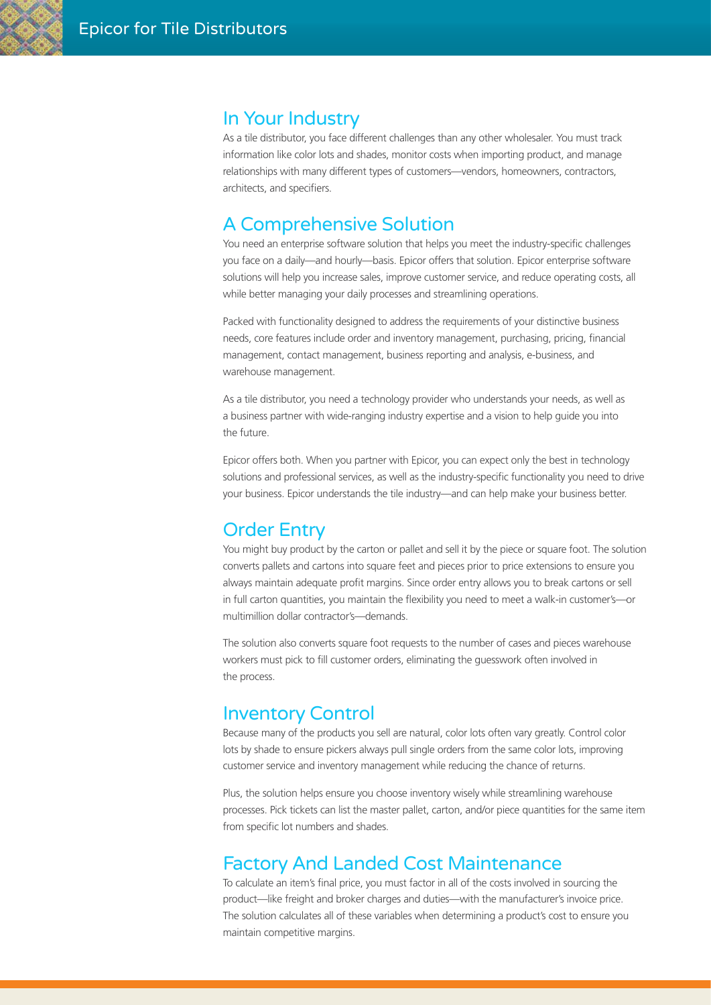#### In Your Industry

As a tile distributor, you face different challenges than any other wholesaler. You must track information like color lots and shades, monitor costs when importing product, and manage relationships with many different types of customers—vendors, homeowners, contractors, architects, and specifiers.

### A Comprehensive Solution

You need an enterprise software solution that helps you meet the industry-specific challenges you face on a daily—and hourly—basis. Epicor offers that solution. Epicor enterprise software solutions will help you increase sales, improve customer service, and reduce operating costs, all while better managing your daily processes and streamlining operations.

Packed with functionality designed to address the requirements of your distinctive business needs, core features include order and inventory management, purchasing, pricing, financial management, contact management, business reporting and analysis, e-business, and warehouse management.

As a tile distributor, you need a technology provider who understands your needs, as well as a business partner with wide-ranging industry expertise and a vision to help guide you into the future.

Epicor offers both. When you partner with Epicor, you can expect only the best in technology solutions and professional services, as well as the industry-specific functionality you need to drive your business. Epicor understands the tile industry—and can help make your business better.

# Order Entry

You might buy product by the carton or pallet and sell it by the piece or square foot. The solution converts pallets and cartons into square feet and pieces prior to price extensions to ensure you always maintain adequate profit margins. Since order entry allows you to break cartons or sell in full carton quantities, you maintain the flexibility you need to meet a walk-in customer's—or multimillion dollar contractor's—demands.

The solution also converts square foot requests to the number of cases and pieces warehouse workers must pick to fill customer orders, eliminating the guesswork often involved in the process.

#### Inventory Control

Because many of the products you sell are natural, color lots often vary greatly. Control color lots by shade to ensure pickers always pull single orders from the same color lots, improving customer service and inventory management while reducing the chance of returns.

Plus, the solution helps ensure you choose inventory wisely while streamlining warehouse processes. Pick tickets can list the master pallet, carton, and/or piece quantities for the same item from specific lot numbers and shades.

#### Factory And Landed Cost Maintenance

To calculate an item's final price, you must factor in all of the costs involved in sourcing the product—like freight and broker charges and duties—with the manufacturer's invoice price. The solution calculates all of these variables when determining a product's cost to ensure you maintain competitive margins.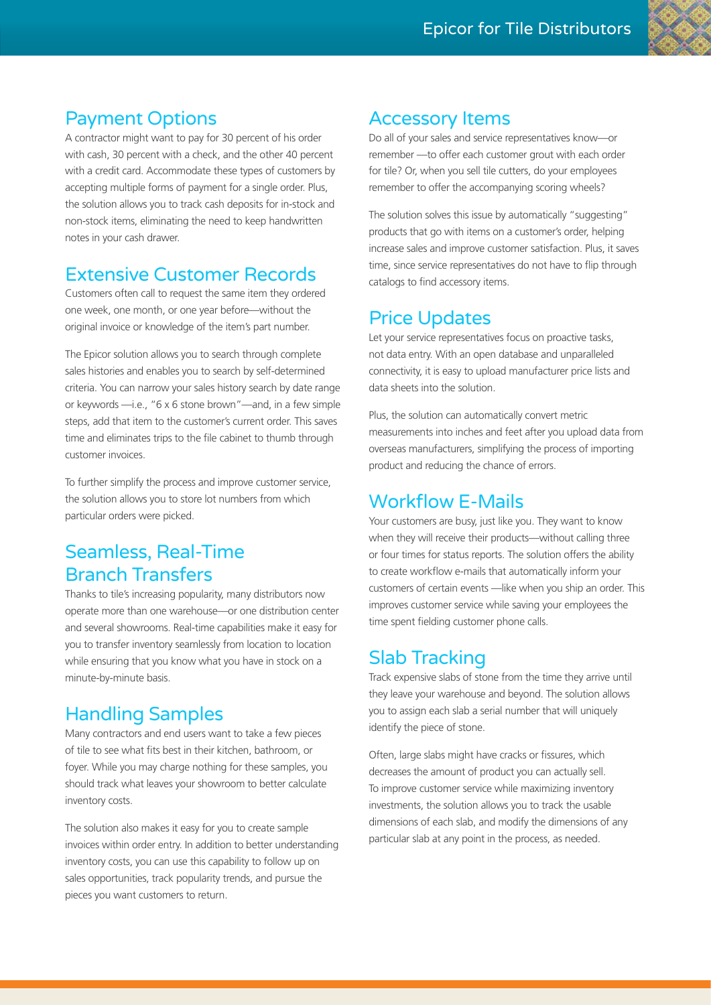# Payment Options

A contractor might want to pay for 30 percent of his order with cash, 30 percent with a check, and the other 40 percent with a credit card. Accommodate these types of customers by accepting multiple forms of payment for a single order. Plus, the solution allows you to track cash deposits for in-stock and non-stock items, eliminating the need to keep handwritten notes in your cash drawer.

#### Extensive Customer Records

Customers often call to request the same item they ordered one week, one month, or one year before—without the original invoice or knowledge of the item's part number.

The Epicor solution allows you to search through complete sales histories and enables you to search by self-determined criteria. You can narrow your sales history search by date range or keywords —i.e., "6 x 6 stone brown"—and, in a few simple steps, add that item to the customer's current order. This saves time and eliminates trips to the file cabinet to thumb through customer invoices.

To further simplify the process and improve customer service, the solution allows you to store lot numbers from which particular orders were picked.

## Seamless, Real-Time Branch Transfers

Thanks to tile's increasing popularity, many distributors now operate more than one warehouse—or one distribution center and several showrooms. Real-time capabilities make it easy for you to transfer inventory seamlessly from location to location while ensuring that you know what you have in stock on a minute-by-minute basis.

# Handling Samples

Many contractors and end users want to take a few pieces of tile to see what fits best in their kitchen, bathroom, or foyer. While you may charge nothing for these samples, you should track what leaves your showroom to better calculate inventory costs.

The solution also makes it easy for you to create sample invoices within order entry. In addition to better understanding inventory costs, you can use this capability to follow up on sales opportunities, track popularity trends, and pursue the pieces you want customers to return.

#### Accessory Items

Do all of your sales and service representatives know—or remember —to offer each customer grout with each order for tile? Or, when you sell tile cutters, do your employees remember to offer the accompanying scoring wheels?

The solution solves this issue by automatically "suggesting" products that go with items on a customer's order, helping increase sales and improve customer satisfaction. Plus, it saves time, since service representatives do not have to flip through catalogs to find accessory items.

# Price Updates

Let your service representatives focus on proactive tasks, not data entry. With an open database and unparalleled connectivity, it is easy to upload manufacturer price lists and data sheets into the solution.

Plus, the solution can automatically convert metric measurements into inches and feet after you upload data from overseas manufacturers, simplifying the process of importing product and reducing the chance of errors.

#### Workflow E-Mails

Your customers are busy, just like you. They want to know when they will receive their products—without calling three or four times for status reports. The solution offers the ability to create workflow e-mails that automatically inform your customers of certain events —like when you ship an order. This improves customer service while saving your employees the time spent fielding customer phone calls.

#### Slab Tracking

Track expensive slabs of stone from the time they arrive until they leave your warehouse and beyond. The solution allows you to assign each slab a serial number that will uniquely identify the piece of stone.

Often, large slabs might have cracks or fissures, which decreases the amount of product you can actually sell. To improve customer service while maximizing inventory investments, the solution allows you to track the usable dimensions of each slab, and modify the dimensions of any particular slab at any point in the process, as needed.